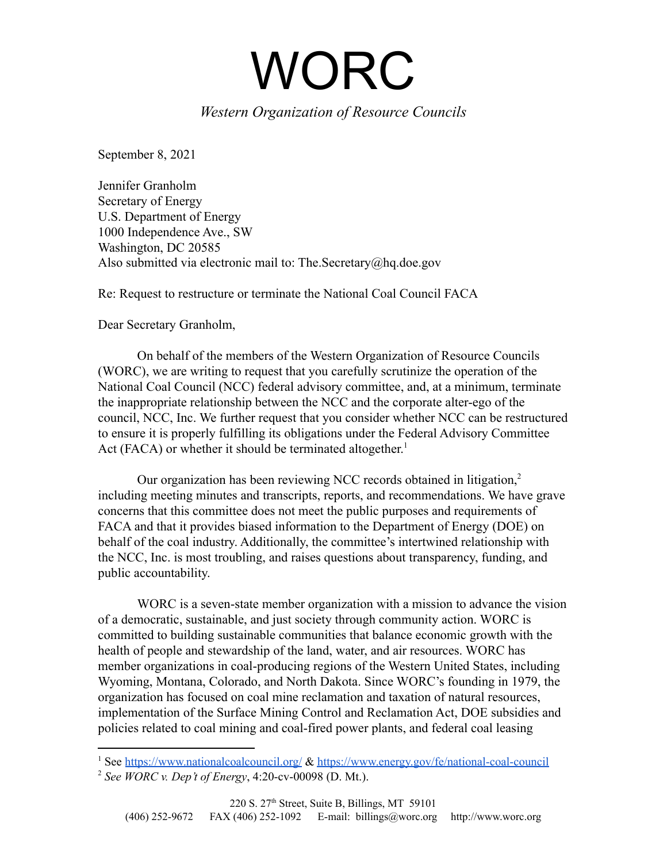WORC

## *Western Organization of Resource Councils*

September 8, 2021

Jennifer Granholm Secretary of Energy U.S. Department of Energy 1000 Independence Ave., SW Washington, DC 20585 Also submitted via electronic mail to: The.Secretary@hq.doe.gov

Re: Request to restructure or terminate the National Coal Council FACA

Dear Secretary Granholm,

On behalf of the members of the Western Organization of Resource Councils (WORC), we are writing to request that you carefully scrutinize the operation of the National Coal Council (NCC) federal advisory committee, and, at a minimum, terminate the inappropriate relationship between the NCC and the corporate alter-ego of the council, NCC, Inc. We further request that you consider whether NCC can be restructured to ensure it is properly fulfilling its obligations under the Federal Advisory Committee Act (FACA) or whether it should be terminated altogether.<sup>1</sup>

Our organization has been reviewing NCC records obtained in litigation,<sup>2</sup> including meeting minutes and transcripts, reports, and recommendations. We have grave concerns that this committee does not meet the public purposes and requirements of FACA and that it provides biased information to the Department of Energy (DOE) on behalf of the coal industry. Additionally, the committee's intertwined relationship with the NCC, Inc. is most troubling, and raises questions about transparency, funding, and public accountability.

WORC is a seven-state member organization with a mission to advance the vision of a democratic, sustainable, and just society through community action. WORC is committed to building sustainable communities that balance economic growth with the health of people and stewardship of the land, water, and air resources. WORC has member organizations in coal-producing regions of the Western United States, including Wyoming, Montana, Colorado, and North Dakota. Since WORC's founding in 1979, the organization has focused on coal mine reclamation and taxation of natural resources, implementation of the Surface Mining Control and Reclamation Act, DOE subsidies and policies related to coal mining and coal-fired power plants, and federal coal leasing

<sup>&</sup>lt;sup>1</sup> See <https://www.nationalcoalcouncil.org/> & <https://www.energy.gov/fe/national-coal-council>

<sup>2</sup> *See WORC v. Dep't of Energy*, 4:20-cv-00098 (D. Mt.).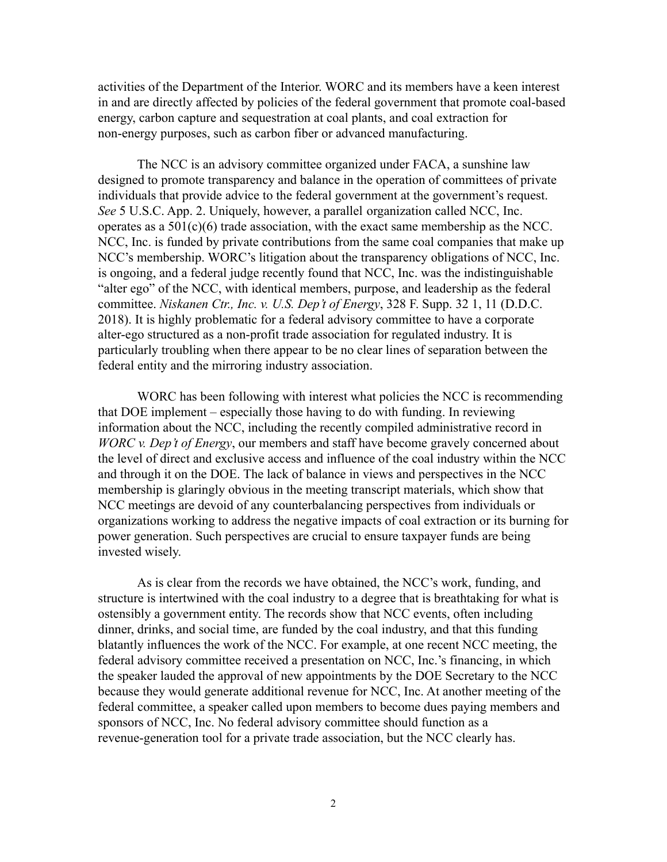activities of the Department of the Interior. WORC and its members have a keen interest in and are directly affected by policies of the federal government that promote coal-based energy, carbon capture and sequestration at coal plants, and coal extraction for non-energy purposes, such as carbon fiber or advanced manufacturing.

The NCC is an advisory committee organized under FACA, a sunshine law designed to promote transparency and balance in the operation of committees of private individuals that provide advice to the federal government at the government's request. *See* 5 U.S.C. App. 2. Uniquely, however, a parallel organization called NCC, Inc. operates as a 501(c)(6) trade association, with the exact same membership as the NCC. NCC, Inc. is funded by private contributions from the same coal companies that make up NCC's membership. WORC's litigation about the transparency obligations of NCC, Inc. is ongoing, and a federal judge recently found that NCC, Inc. was the indistinguishable "alter ego" of the NCC, with identical members, purpose, and leadership as the federal committee. *Niskanen Ctr., Inc. v. U.S. Dep't of Energy*, 328 F. Supp. 32 1, 11 (D.D.C. 2018). It is highly problematic for a federal advisory committee to have a corporate alter-ego structured as a non-profit trade association for regulated industry. It is particularly troubling when there appear to be no clear lines of separation between the federal entity and the mirroring industry association.

WORC has been following with interest what policies the NCC is recommending that DOE implement – especially those having to do with funding. In reviewing information about the NCC, including the recently compiled administrative record in *WORC v. Dep't of Energy*, our members and staff have become gravely concerned about the level of direct and exclusive access and influence of the coal industry within the NCC and through it on the DOE. The lack of balance in views and perspectives in the NCC membership is glaringly obvious in the meeting transcript materials, which show that NCC meetings are devoid of any counterbalancing perspectives from individuals or organizations working to address the negative impacts of coal extraction or its burning for power generation. Such perspectives are crucial to ensure taxpayer funds are being invested wisely.

As is clear from the records we have obtained, the NCC's work, funding, and structure is intertwined with the coal industry to a degree that is breathtaking for what is ostensibly a government entity. The records show that NCC events, often including dinner, drinks, and social time, are funded by the coal industry, and that this funding blatantly influences the work of the NCC. For example, at one recent NCC meeting, the federal advisory committee received a presentation on NCC, Inc.'s financing, in which the speaker lauded the approval of new appointments by the DOE Secretary to the NCC because they would generate additional revenue for NCC, Inc. At another meeting of the federal committee, a speaker called upon members to become dues paying members and sponsors of NCC, Inc. No federal advisory committee should function as a revenue-generation tool for a private trade association, but the NCC clearly has.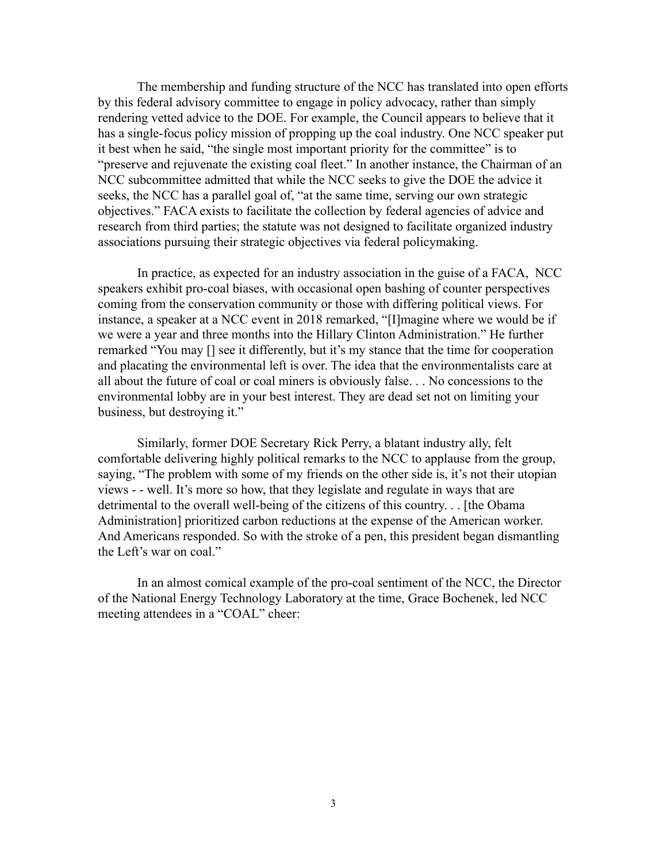The membership and funding structure of the NCC has translated into open efforts by this federal advisory committee to engage in policy advocacy, rather than simply rendering vetted advice to the DOE. For example, the Council appears to believe that it has a single-focus policy mission of propping up the coal industry. One NCC speaker put it best when he said, "the single most important priority for the committee" is to "preserve and rejuvenate the existing coal fleet." In another instance, the Chairman of an NCC subcommittee admitted that while the NCC seeks to give the DOE the advice it seeks, the NCC has a parallel goal of, "at the same time, serving our own strategic objectives." FACA exists to facilitate the collection by federal agencies of advice and research from third parties; the statute was not designed to facilitate organized industry associations pursuing their strategic objectives via federal policymaking.

In practice, as expected for an industry association in the guise of a FACA, NCC speakers exhibit pro-coal biases, with occasional open bashing of counter perspectives coming from the conservation community or those with differing political views. For instance, a speaker at a NCC event in 2018 remarked, "[I]magine where we would be if we were a year and three months into the Hillary Clinton Administration." He further remarked "You may [] see it differently, but it's my stance that the time for cooperation and placating the environmental left is over. The idea that the environmentalists care at all about the future of coal or coal miners is obviously false. . . No concessions to the environmental lobby are in your best interest. They are dead set not on limiting your business, but destroying it."

Similarly, former DOE Secretary Rick Perry, a blatant industry ally, felt comfortable delivering highly political remarks to the NCC to applause from the group, saying, "The problem with some of my friends on the other side is, it's not their utopian views - - well. It's more so how, that they legislate and regulate in ways that are detrimental to the overall well-being of the citizens of this country. . . [the Obama Administration] prioritized carbon reductions at the expense of the American worker. And Americans responded. So with the stroke of a pen, this president began dismantling the Left's war on coal."

In an almost comical example of the pro-coal sentiment of the NCC, the Director of the National Energy Technology Laboratory at the time, Grace Bochenek, led NCC meeting attendees in a "COAL" cheer: